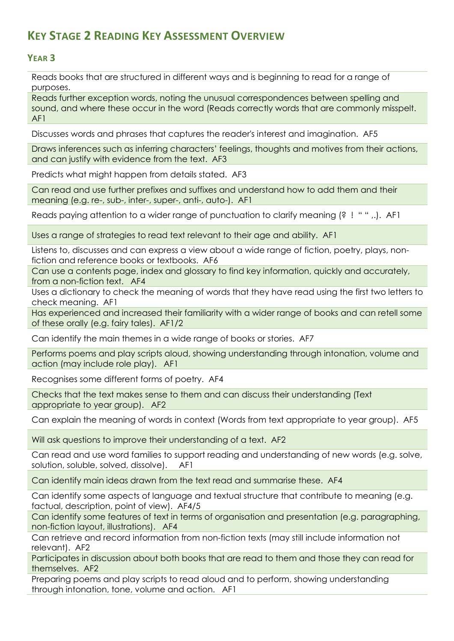# **KEY STAGE 2 READING KEY ASSESSMENT OVERVIEW**

## **YEAR 3**

Reads books that are structured in different ways and is beginning to read for a range of purposes.

Reads further exception words, noting the unusual correspondences between spelling and sound, and where these occur in the word (Reads correctly words that are commonly misspelt. AF1

Discusses words and phrases that captures the reader's interest and imagination. AF5

Draws inferences such as inferring characters' feelings, thoughts and motives from their actions, and can justify with evidence from the text. AF3

Predicts what might happen from details stated. AF3

Can read and use further prefixes and suffixes and understand how to add them and their meaning (e.g. re-, sub-, inter-, super-, anti-, auto-). AF1

Reads paying attention to a wider range of punctuation to clarify meaning (? ! " " ,.). AF1

Uses a range of strategies to read text relevant to their age and ability. AF1

Listens to, discusses and can express a view about a wide range of fiction, poetry, plays, nonfiction and reference books or textbooks. AF6

Can use a contents page, index and glossary to find key information, quickly and accurately, from a non-fiction text. AF4

Uses a dictionary to check the meaning of words that they have read using the first two letters to check meaning. AF1

Has experienced and increased their familiarity with a wider range of books and can retell some of these orally (e.g. fairy tales). AF1/2

Can identify the main themes in a wide range of books or stories. AF7

Performs poems and play scripts aloud, showing understanding through intonation, volume and action (may include role play). AF1

Recognises some different forms of poetry. AF4

Checks that the text makes sense to them and can discuss their understanding (Text appropriate to year group). AF2

Can explain the meaning of words in context (Words from text appropriate to year group). AF5

Will ask questions to improve their understanding of a text. AF2

Can read and use word families to support reading and understanding of new words (e.g. solve, solution, soluble, solved, dissolve). AF1

Can identify main ideas drawn from the text read and summarise these. AF4

Can identify some aspects of language and textual structure that contribute to meaning (e.g. factual, description, point of view). AF4/5

Can identify some features of text in terms of organisation and presentation (e.g. paragraphing, non-fiction layout, illustrations). AF4

Can retrieve and record information from non-fiction texts (may still include information not relevant). AF2

Participates in discussion about both books that are read to them and those they can read for themselves. AF2

Preparing poems and play scripts to read aloud and to perform, showing understanding through intonation, tone, volume and action. AF1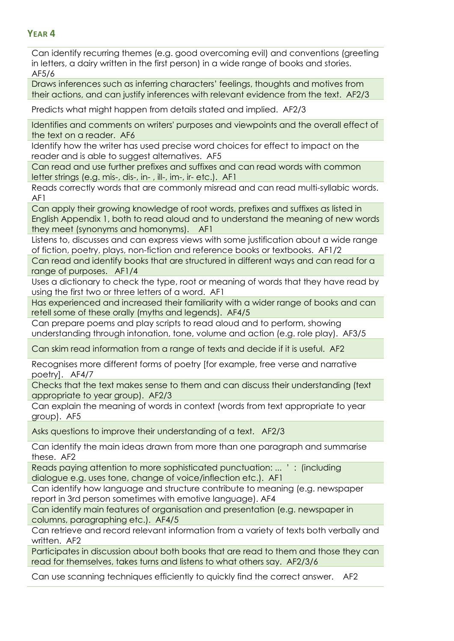### **YEAR 4**

Can identify recurring themes (e.g. good overcoming evil) and conventions (greeting in letters, a dairy written in the first person) in a wide range of books and stories. AF5/6

Draws inferences such as inferring characters' feelings, thoughts and motives from their actions, and can justify inferences with relevant evidence from the text. AF2/3

Predicts what might happen from details stated and implied. AF2/3

Identifies and comments on writers' purposes and viewpoints and the overall effect of the text on a reader. AF6

Identify how the writer has used precise word choices for effect to impact on the reader and is able to suggest alternatives. AF5

Can read and use further prefixes and suffixes and can read words with common letter strings (e.g. mis-, dis-, in- , ill-, im-, ir- etc.). AF1

Reads correctly words that are commonly misread and can read multi-syllabic words. AF1

Can apply their growing knowledge of root words, prefixes and suffixes as listed in English Appendix 1, both to read aloud and to understand the meaning of new words they meet (synonyms and homonyms). AF1

Listens to, discusses and can express views with some justification about a wide range of fiction, poetry, plays, non-fiction and reference books or textbooks. AF1/2

Can read and identify books that are structured in different ways and can read for a range of purposes. AF1/4

Uses a dictionary to check the type, root or meaning of words that they have read by using the first two or three letters of a word. AF1

Has experienced and increased their familiarity with a wider range of books and can retell some of these orally (myths and legends). AF4/5

Can prepare poems and play scripts to read aloud and to perform, showing understanding through intonation, tone, volume and action (e.g. role play). AF3/5

Can skim read information from a range of texts and decide if it is useful. AF2

Recognises more different forms of poetry [for example, free verse and narrative poetry]. AF4/7

Checks that the text makes sense to them and can discuss their understanding (text appropriate to year group). AF2/3

Can explain the meaning of words in context (words from text appropriate to year group). AF5

Asks questions to improve their understanding of a text. AF2/3

Can identify the main ideas drawn from more than one paragraph and summarise these. AF2

Reads paying attention to more sophisticated punctuation: ... ' : (including dialogue e.g. uses tone, change of voice/inflection etc.). AF1

Can identify how language and structure contribute to meaning (e.g. newspaper report in 3rd person sometimes with emotive language). AF4

Can identify main features of organisation and presentation (e.g. newspaper in columns, paragraphing etc.). AF4/5

Can retrieve and record relevant information from a variety of texts both verbally and written. AF2

Participates in discussion about both books that are read to them and those they can read for themselves, takes turns and listens to what others say. AF2/3/6

Can use scanning techniques efficiently to quickly find the correct answer. AF2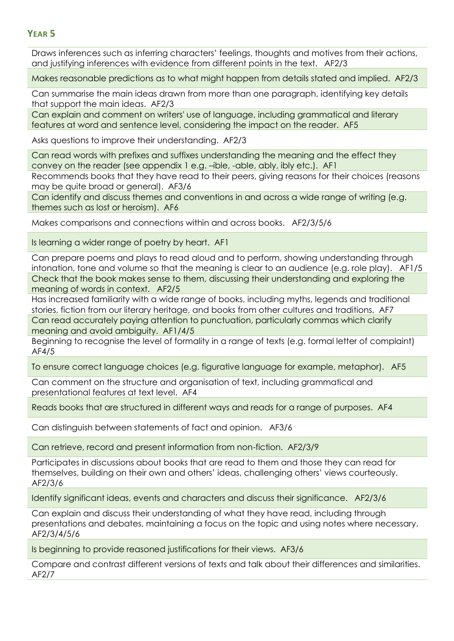#### **YEAR 5**

Draws inferences such as inferring characters' feelings, thoughts and motives from their actions, and justifying inferences with evidence from different points in the text. AF2/3

Makes reasonable predictions as to what might happen from details stated and implied. AF2/3

Can summarise the main ideas drawn from more than one paragraph, identifying key details that support the main ideas. AF2/3

Can explain and comment on writers' use of language, including grammatical and literary features at word and sentence level, considering the impact on the reader. AF5

Asks questions to improve their understanding. AF2/3

Can read words with prefixes and suffixes understanding the meaning and the effect they convey on the reader (see appendix 1 e.g. –ible, -able, ably, ibly etc.). AF1

Recommends books that they have read to their peers, giving reasons for their choices (reasons may be quite broad or general). AF3/6

Can identify and discuss themes and conventions in and across a wide range of writing (e.g. themes such as lost or heroism). AF6

Makes comparisons and connections within and across books. AF2/3/5/6

Is learning a wider range of poetry by heart. AF1

Can prepare poems and plays to read aloud and to perform, showing understanding through intonation, tone and volume so that the meaning is clear to an audience (e.g. role play). AF1/5 Check that the book makes sense to them, discussing their understanding and exploring the meaning of words in context. AF2/5

Has increased familiarity with a wide range of books, including myths, legends and traditional stories, fiction from our literary heritage, and books from other cultures and traditions. AF7 Can read accurately paying attention to punctuation, particularly commas which clarify

meaning and avoid ambiguity. AF1/4/5

Beginning to recognise the level of formality in a range of texts (e.g. formal letter of complaint) AF4/5

To ensure correct language choices (e.g. figurative language for example, metaphor). AF5

Can comment on the structure and organisation of text, including grammatical and presentational features at text level. AF4

Reads books that are structured in different ways and reads for a range of purposes. AF4

Can distinguish between statements of fact and opinion. AF3/6

Can retrieve, record and present information from non-fiction. AF2/3/9

Participates in discussions about books that are read to them and those they can read for themselves, building on their own and others' ideas, challenging others' views courteously. AF2/3/6

Identify significant ideas, events and characters and discuss their significance. AF2/3/6

Can explain and discuss their understanding of what they have read, including through presentations and debates, maintaining a focus on the topic and using notes where necessary. AF2/3/4/5/6

Is beginning to provide reasoned justifications for their views. AF3/6

Compare and contrast different versions of texts and talk about their differences and similarities. AF2/7